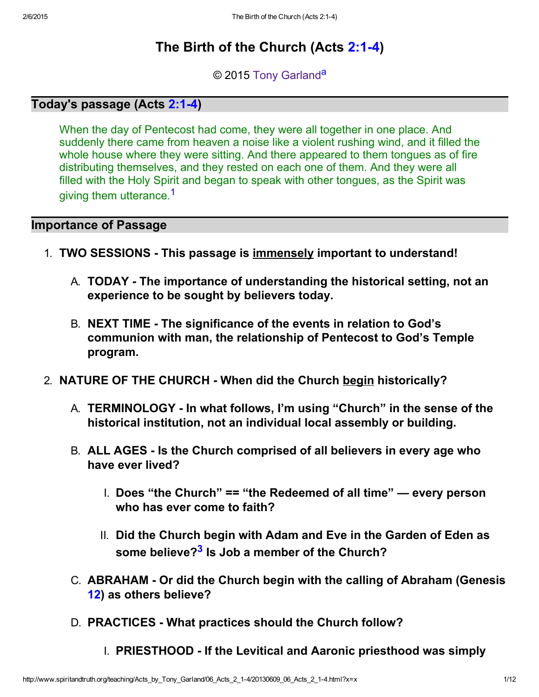# The Birth of the Church (Acts 2:1-4)

<span id="page-0-2"></span><span id="page-0-0"></span>© 2015 [Tony Garland](http://www.spiritandtruth.org/id/tg.htm)<sup>[a](#page-10-1)</sup>

## Today's passage (Acts 2:1-4)

When the day of Pentecost had come, they were all together in one place. And suddenly there came from heaven a noise like a violent rushing wind, and it filled the whole house where they were sitting. And there appeared to them tongues as of fire distributing themselves, and they rested on each one of them. And they were all filled with the Holy Spirit and began to speak with other tongues, as the Spirit was giving them utterance.<sup>[1](#page-10-2)</sup>

#### Importance of Passage

- 1. TWO SESSIONS This passage is immensely important to understand!
	- A. **TODAY** The importance of understanding the historical setting, not an experience to be sought by believers today.
	- B. NEXT TIME The significance of the events in relation to God's communion with man, the relationship of Pentecost to God's Temple program.
- <span id="page-0-1"></span>2. NATURE OF THE CHURCH - When did the Church begin historically?
	- A. TERMINOLOGY In what follows, I'm using "Church" in the sense of the historical institution, not an individual local assembly or building.
	- B. ALL AGES Is the Church comprised of all believers in every age who have ever lived?
		- I. Does "the Church" == "the Redeemed of all time" every person who has ever come to faith?
		- II. Did the Church begin with Adam and Eve in the Garden of Eden as some believe?<sup>[3](#page-10-0)</sup> Is Job a member of the Church?
	- C. ABRAHAM Or did the Church begin with the calling of Abraham (Genesis [12\)](http://www.spiritandtruth.org/bibles/nasb/b01c012.htm#Gen._C12V1) as others believe?
	- D. PRACTICES What practices should the Church follow?
		- I. PRIESTHOOD If the Levitical and Aaronic priesthood was simply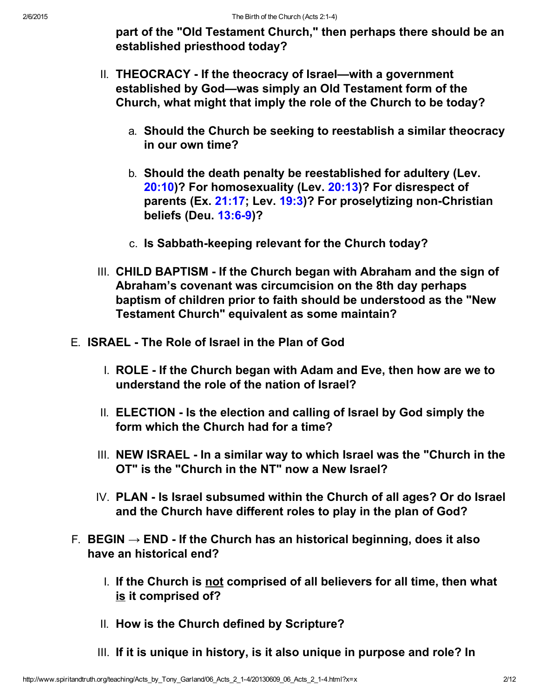part of the "Old Testament Church," then perhaps there should be an established priesthood today?

- II. THEOCRACY If the theocracy of Israel—with a government established by God—was simply an Old Testament form of the Church, what might that imply the role of the Church to be today?
	- a. Should the Church be seeking to reestablish a similar theocracy in our own time?
	- b. Should the death penalty be reestablished for adultery (Lev. [20:10\)](http://www.spiritandtruth.org/bibles/nasb/b03c020.htm#Lev._C20V10)? For homosexuality (Lev. [20:13\)](http://www.spiritandtruth.org/bibles/nasb/b03c020.htm#Lev._C20V13)? For disrespect of parents (Ex.  $21:17$ ; Lev.  $19:3$ )? For proselytizing non-Christian beliefs (Deu. 13:6-9)?
	- c. Is Sabbath-keeping relevant for the Church today?
- III. CHILD BAPTISM If the Church began with Abraham and the sign of Abraham's covenant was circumcision on the 8th day perhaps baptism of children prior to faith should be understood as the "New Testament Church" equivalent as some maintain?
- E. ISRAEL The Role of Israel in the Plan of God
	- I. ROLE If the Church began with Adam and Eve, then how are we to understand the role of the nation of Israel?
	- II. ELECTION Is the election and calling of Israel by God simply the form which the Church had for a time?
	- III. NEW ISRAEL In a similar way to which Israel was the "Church in the OT" is the "Church in the NT" now a New Israel?
	- IV. PLAN Is Israel subsumed within the Church of all ages? Or do Israel and the Church have different roles to play in the plan of God?
- F. BEGIN  $\rightarrow$  END If the Church has an historical beginning, does it also have an historical end?
	- I. If the Church is not comprised of all believers for all time, then what is it comprised of?
	- II. How is the Church defined by Scripture?
	- III. If it is unique in history, is it also unique in purpose and role? In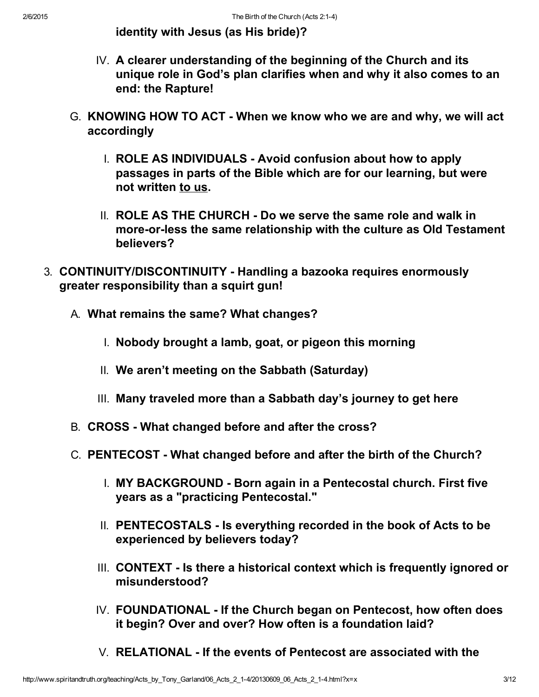identity with Jesus (as His bride)?

- IV. A clearer understanding of the beginning of the Church and its unique role in God's plan clarifies when and why it also comes to an end: the Rapture!
- G. KNOWING HOW TO ACT When we know who we are and why, we will act accordingly
	- I. ROLE AS INDIVIDUALS Avoid confusion about how to apply passages in parts of the Bible which are for our learning, but were not written to us.
	- II. ROLE AS THE CHURCH Do we serve the same role and walk in more-or-less the same relationship with the culture as Old Testament believers?
- 3. CONTINUITY/DISCONTINUITY Handling a bazooka requires enormously greater responsibility than a squirt gun!
	- A. What remains the same? What changes?
		- I. Nobody brought a lamb, goat, or pigeon this morning
		- II. We aren't meeting on the Sabbath (Saturday)
		- III. Many traveled more than a Sabbath day's journey to get here
	- B. CROSS What changed before and after the cross?
	- C. PENTECOST What changed before and after the birth of the Church?
		- I. MY BACKGROUND Born again in a Pentecostal church. First five years as a "practicing Pentecostal."
		- II. PENTECOSTALS Is everything recorded in the book of Acts to be experienced by believers today?
		- III. CONTEXT Is there a historical context which is frequently ignored or misunderstood?
		- IV. FOUNDATIONAL If the Church began on Pentecost, how often does it begin? Over and over? How often is a foundation laid?
		- V. RELATIONAL If the events of Pentecost are associated with the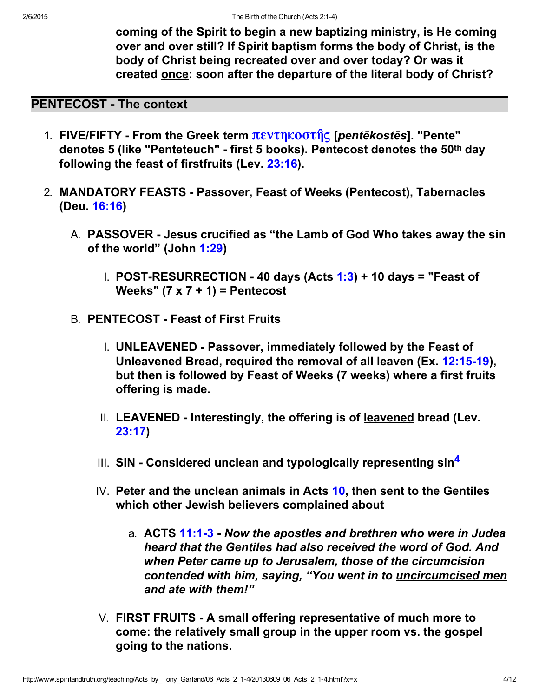coming of the Spirit to begin a new baptizing ministry, is He coming over and over still? If Spirit baptism forms the body of Christ, is the body of Christ being recreated over and over today? Or was it created once: soon after the departure of the literal body of Christ?

# PENTECOST - The context

- 1. FIVE/FIFTY From the Greek term πεντηκοστής [*pentēkostēs*]. "Pente" denotes 5 (like "Penteteuch" first 5 books). Pentecost denotes the 50th day following the feast of firstfruits (Lev. [23:16\)](http://www.spiritandtruth.org/bibles/nasb/b03c023.htm#Lev._C23V16).
- <span id="page-3-0"></span>2. MANDATORY FEASTS - Passover, Feast of Weeks (Pentecost), Tabernacles (Deu. [16:16\)](http://www.spiritandtruth.org/bibles/nasb/b05c016.htm#Deu._C16V16)
	- A. PASSOVER Jesus crucified as "the Lamb of God Who takes away the sin of the world" (John [1:29\)](http://www.spiritandtruth.org/bibles/nasb/b43c001.htm#John_C1V29)
		- $I.$  POST-RESURRECTION 40 days (Acts [1:3](http://www.spiritandtruth.org/bibles/nasb/b44c001.htm#Acts_C1V3)) + 10 days = "Feast of Weeks"  $(7 \times 7 + 1)$  = Pentecost
	- B. **PENTECOST Feast of First Fruits** 
		- I. UNLEAVENED Passover, immediately followed by the Feast of Unleavened Bread, required the removal of all leaven (Ex. [12:1519\)](http://www.spiritandtruth.org/bibles/nasb/b02c012.htm#Ex._C12V15), but then is followed by Feast of Weeks (7 weeks) where a first fruits offering is made.
		- II. LEAVENED Interestingly, the offering is of leavened bread (Lev. [23:17\)](http://www.spiritandtruth.org/bibles/nasb/b03c023.htm#Lev._C23V17)
		- III. SIN Considered unclean and typologically representing  $sin<sup>4</sup>$  $sin<sup>4</sup>$  $sin<sup>4</sup>$
		- IV. Peter and the unclean animals in Acts [10,](http://www.spiritandtruth.org/bibles/nasb/b44c010.htm#Acts_C10V1) then sent to the Gentiles which other Jewish believers complained about
			- a. ACTS 11:1-3 Now the apostles and brethren who were in Judea heard that the Gentiles had also received the word of God. And when Peter came up to Jerusalem, those of the circumcision contended with him, saying, "You went in to *uncircumcised men* and ate with them!"
		- $V.$  FIRST FRUITS A small offering representative of much more to come: the relatively small group in the upper room vs. the gospel going to the nations.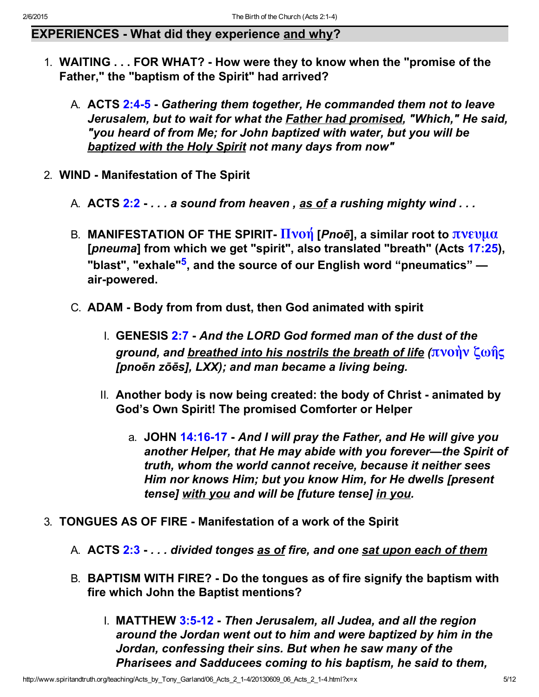# EXPERIENCES - What did they experience and why?

- 1. WAITING . . . FOR WHAT? How were they to know when the "promise of the Father," the "baptism of the Spirit" had arrived?
	- A. ACTS 2:4-5 Gathering them together, He commanded them not to leave Jerusalem, but to wait for what the Father had promised, "Which," He said, "you heard of from Me; for John baptized with water, but you will be baptized with the Holy Spirit not many days from now"
- <span id="page-4-0"></span>2. WIND - Manifestation of The Spirit
	- A. ACTS  $2:2:...$  a sound from heaven, as of a rushing mighty wind  $...$
	- B. MANIFESTATION OF THE SPIRIT-  $\overline{H}$ νοή [Pnoē], a similar root to [πνευμα](http://www.spiritandtruth.org/fontsu/index.htm) [pneuma] from which we get "spirit", also translated "breath" (Acts [17:25\)](http://www.spiritandtruth.org/bibles/nasb/b44c017.htm#Acts_C17V25), "blast", "exhale"<sup>[5](#page-10-4)</sup>, and the source of our English word "pneumatics" air-powered.
	- C. ADAM Body from from dust, then God animated with spirit
		- I. GENESIS [2:7](http://www.spiritandtruth.org/bibles/nasb/b01c002.htm#Gen._C2V7)  And the LORD God formed man of the dust of the ground, and breathed into his nostrils the breath of life  $\langle \pi v \alpha \hat{\eta} \rangle$  ζω $\hat{\eta}$ ς [pnoēn zōēs], LXX); and man became a living being.
		- II. Another body is now being created: the body of Christ animated by God's Own Spirit! The promised Comforter or Helper
			- a. JOHN 14:16-17 And I will pray the Father, and He will give you another Helper, that He may abide with you forever—the Spirit of truth, whom the world cannot receive, because it neither sees Him nor knows Him; but you know Him, for He dwells [present tense] with you and will be [future tense] in you.
- 3. TONGUES AS OF FIRE Manifestation of a work of the Spirit
	- A. ACTS [2:3](http://www.spiritandtruth.org/bibles/nasb/b44c002.htm#Acts_C2V3)  . . . divided tonges as of fire, and one sat upon each of them
	- B. BAPTISM WITH FIRE? Do the tongues as of fire signify the baptism with fire which John the Baptist mentions?
		- I. MATTHEW 3:5-12 Then Jerusalem, all Judea, and all the region around the Jordan went out to him and were baptized by him in the Jordan, confessing their sins. But when he saw many of the Pharisees and Sadducees coming to his baptism, he said to them,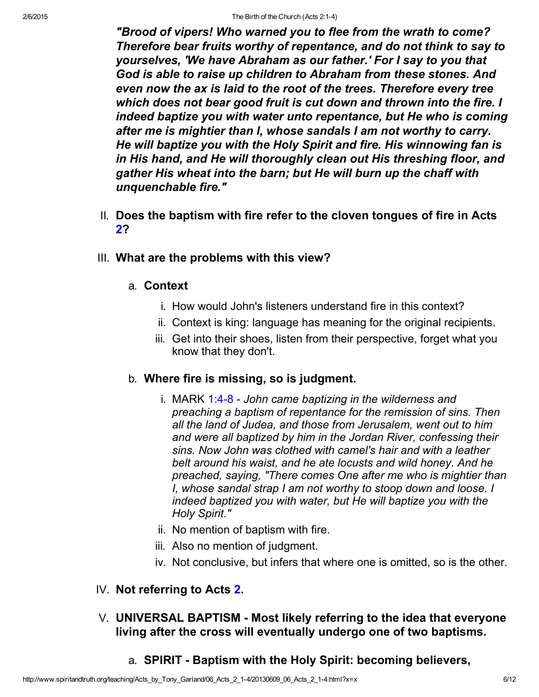"Brood of vipers! Who warned you to flee from the wrath to come? Therefore bear fruits worthy of repentance, and do not think to say to yourselves, 'We have Abraham as our father.' For I say to you that God is able to raise up children to Abraham from these stones. And even now the ax is laid to the root of the trees. Therefore every tree which does not bear good fruit is cut down and thrown into the fire. I indeed baptize you with water unto repentance, but He who is coming after me is mightier than I, whose sandals I am not worthy to carry. He will baptize you with the Holy Spirit and fire. His winnowing fan is in His hand, and He will thoroughly clean out His threshing floor, and gather His wheat into the barn; but He will burn up the chaff with unquenchable fire."

- II. Does the baptism with fire refer to the cloven tongues of fire in Acts [2?](http://www.spiritandtruth.org/bibles/nasb/b44c002.htm#Acts_C2V1)
- III. What are the problems with this view?
	- a. Context
		- i. How would John's listeners understand fire in this context?
		- ii. Context is king: language has meaning for the original recipients.
		- iii. Get into their shoes, listen from their perspective, forget what you know that they don't.

### b. Where fire is missing, so is judgment.

- i. MARK  $1:4-8$  John came baptizing in the wilderness and preaching a baptism of repentance for the remission of sins. Then all the land of Judea, and those from Jerusalem, went out to him and were all baptized by him in the Jordan River, confessing their sins. Now John was clothed with camel's hair and with a leather belt around his waist, and he ate locusts and wild honey. And he preached, saying, "There comes One after me who is mightier than I, whose sandal strap I am not worthy to stoop down and loose. I indeed baptized you with water, but He will baptize you with the Holy Spirit."
- ii. No mention of baptism with fire.
- iii. Also no mention of judgment.
- iv. Not conclusive, but infers that where one is omitted, so is the other.

### IV. Not referring to Acts [2.](http://www.spiritandtruth.org/bibles/nasb/b44c002.htm#Acts_C2V1)

- $V.$  UNIVERSAL BAPTISM Most likely referring to the idea that everyone living after the cross will eventually undergo one of two baptisms.
	- a. SPIRIT Baptism with the Holy Spirit: becoming believers,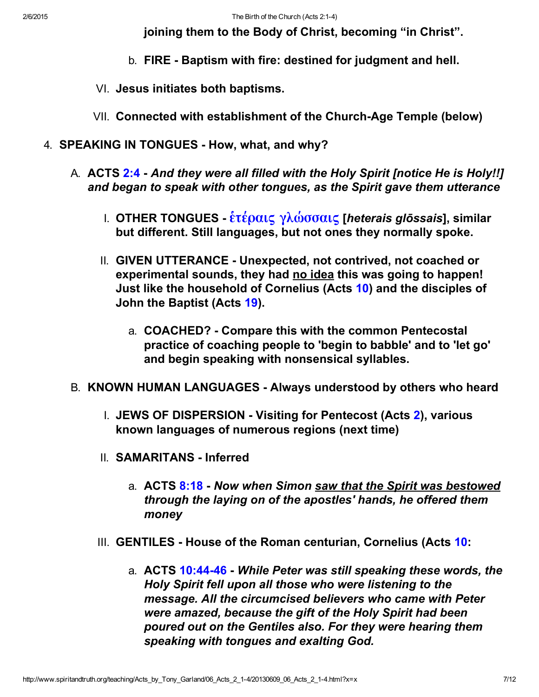joining them to the Body of Christ, becoming "in Christ".

- b. FIRE Baptism with fire: destined for judgment and hell.
- VI. Jesus initiates both baptisms.
- VII. Connected with establishment of the Church-Age Temple (below)
- 4. SPEAKING IN TONGUES How, what, and why?
	- A. ACTS [2:4](http://www.spiritandtruth.org/bibles/nasb/b44c002.htm#Acts_C2V4)  And they were all filled with the Holy Spirit [notice He is Holy!!] and began to speak with other tongues, as the Spirit gave them utterance
		- I. OTHER TONGUES  $\frac{\hat{\epsilon} \tau \hat{\epsilon} \rho \alpha \iota \zeta}{\gamma \lambda \omega \sigma \sigma \alpha \iota \zeta}$  [heterais glōssais], similar but different. Still languages, but not ones they normally spoke.
		- II. GIVEN UTTERANCE Unexpected, not contrived, not coached or experimental sounds, they had no idea this was going to happen! Just like the household of Cornelius (Acts [10\)](http://www.spiritandtruth.org/bibles/nasb/b44c010.htm#Acts_C10V1) and the disciples of John the Baptist (Acts [19\)](http://www.spiritandtruth.org/bibles/nasb/b44c019.htm#Acts_C19V1).
			- a. COACHED? Compare this with the common Pentecostal practice of coaching people to 'begin to babble' and to 'let go' and begin speaking with nonsensical syllables.
	- B. KNOWN HUMAN LANGUAGES Always understood by others who heard
		- I. JEWS OF DISPERSION Visiting for Pentecost (Acts [2](http://www.spiritandtruth.org/bibles/nasb/b44c002.htm#Acts_C2V1)), various known languages of numerous regions (next time)
		- II. SAMARITANS Inferred
			- a. ACTS [8:18](http://www.spiritandtruth.org/bibles/nasb/b44c008.htm#Acts_C8V18)  Now when Simon saw that the Spirit was bestowed through the laying on of the apostles' hands, he offered them money
		- III. GENTILES House of the Roman centurian, Cornelius (Acts [10:](http://www.spiritandtruth.org/bibles/nasb/b44c010.htm#Acts_C10V1)
			- a. ACTS 10:44-46 While Peter was still speaking these words, the Holy Spirit fell upon all those who were listening to the message. All the circumcised believers who came with Peter were amazed, because the gift of the Holy Spirit had been poured out on the Gentiles also. For they were hearing them speaking with tongues and exalting God.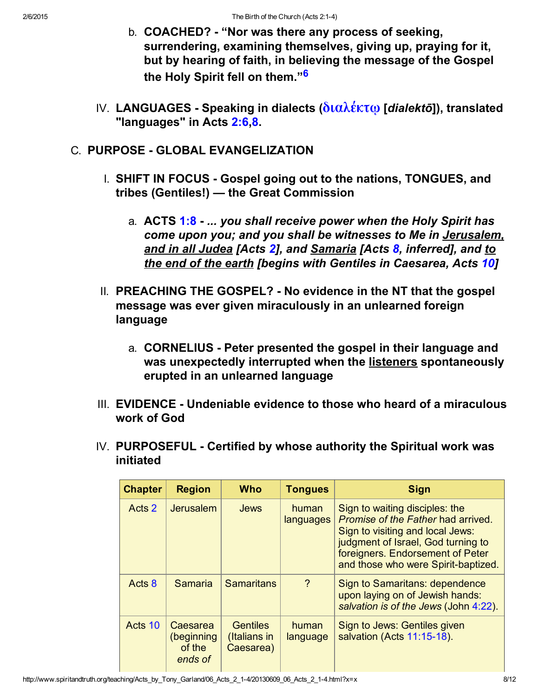- <span id="page-7-0"></span>b. **COACHED?** - "Nor was there any process of seeking, surrendering, examining themselves, giving up, praying for it, but by hearing of faith, in believing the message of the Gospel the Holy Spirit fell on them."<sup>[6](#page-10-5)</sup>
- IV. LANGUAGES Speaking in dialects ( $\delta$ ιαλέκτω [dialektō]), translated "languages" in Acts 2:6.[8.](http://www.spiritandtruth.org/bibles/nasb/b44c002.htm#Acts_C2V8)
- C. PURPOSE GLOBAL EVANGELIZATION
	- I. SHIFT IN FOCUS Gospel going out to the nations, TONGUES, and tribes (Gentiles!) — the Great Commission
		- a. **ACTS [1:8](http://www.spiritandtruth.org/bibles/nasb/b44c001.htm#Acts_C1V8)  ... you shall receive power when the Holy Spirit has** come upon you; and you shall be witnesses to Me in Jerusalem, and in all Judea [Acts [2](http://www.spiritandtruth.org/bibles/nasb/b44c002.htm#Acts_C2V1)], and Samaria [Acts [8,](http://www.spiritandtruth.org/bibles/nasb/b44c008.htm#Acts_C8V1) inferred], and to the end of the earth [begins with Gentiles in Caesarea, Acts [10\]](http://www.spiritandtruth.org/bibles/nasb/b44c010.htm#Acts_C10V1)
	- II. PREACHING THE GOSPEL? No evidence in the NT that the gospel message was ever given miraculously in an unlearned foreign language
		- a. CORNELIUS Peter presented the gospel in their language and was unexpectedly interrupted when the listeners spontaneously erupted in an unlearned language
	- III. EVIDENCE Undeniable evidence to those who heard of a miraculous work of God
	- IV. PURPOSEFUL Certified by whose authority the Spiritual work was initiated

| <b>Chapter</b> | <b>Region</b>                               | <b>Who</b>                                   | <b>Tongues</b>     | <b>Sign</b>                                                                                                                                                                                                                      |
|----------------|---------------------------------------------|----------------------------------------------|--------------------|----------------------------------------------------------------------------------------------------------------------------------------------------------------------------------------------------------------------------------|
| Acts 2         | Jerusalem                                   | <b>Jews</b>                                  | human<br>languages | Sign to waiting disciples: the<br><i>Promise of the Father had arrived.</i><br>Sign to visiting and local Jews:<br>judgment of Israel, God turning to<br>foreigners. Endorsement of Peter<br>and those who were Spirit-baptized. |
| Acts 8         | <b>Samaria</b>                              | <b>Samaritans</b>                            | $\gamma$           | Sign to Samaritans: dependence<br>upon laying on of Jewish hands:<br>salvation is of the Jews (John 4:22).                                                                                                                       |
| Acts 10        | Caesarea<br>(beginning<br>of the<br>ends of | <b>Gentiles</b><br>(Italians in<br>Caesarea) | human<br>language  | Sign to Jews: Gentiles given<br>salvation (Acts 11:15-18).                                                                                                                                                                       |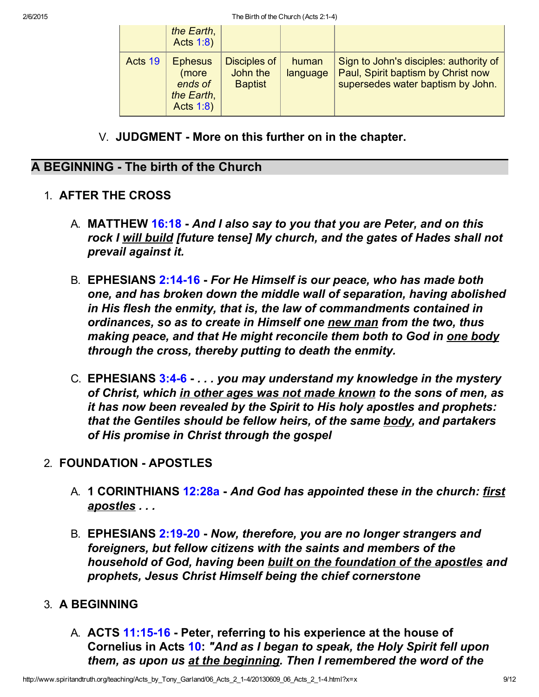|         | the Earth,<br><b>Acts 1:8)</b>                                |                                            |                   |                                                                                                                   |
|---------|---------------------------------------------------------------|--------------------------------------------|-------------------|-------------------------------------------------------------------------------------------------------------------|
| Acts 19 | <b>Ephesus</b><br>(more<br>ends of<br>the Earth,<br>Acts 1:8) | Disciples of<br>John the<br><b>Baptist</b> | human<br>language | Sign to John's disciples: authority of<br>Paul, Spirit baptism by Christ now<br>supersedes water baptism by John. |

V. JUDGMENT - More on this further on in the chapter.

#### A BEGINNING - The birth of the Church

- 1. AFTER THE CROSS
	- A. MATTHEW [16:18](http://www.spiritandtruth.org/bibles/nasb/b40c016.htm#Mat._C16V18)  And I also say to you that you are Peter, and on this rock I will build [future tense] My church, and the gates of Hades shall not prevail against it.
	- B. EPHESIANS 2:14-16 For He Himself is our peace, who has made both one, and has broken down the middle wall of separation, having abolished in His flesh the enmity, that is, the law of commandments contained in ordinances, so as to create in Himself one new man from the two, thus making peace, and that He might reconcile them both to God in one body through the cross, thereby putting to death the enmity.
	- C. EPHESIANS  $3:4-6$   $\ldots$  you may understand my knowledge in the mystery of Christ, which in other ages was not made known to the sons of men, as it has now been revealed by the Spirit to His holy apostles and prophets: that the Gentiles should be fellow heirs, of the same body, and partakers of His promise in Christ through the gospel

### 2. FOUNDATION - APOSTLES

- A. 1 CORINTHIANS [12:28a](http://www.spiritandtruth.org/bibles/nasb/b46c012.htm#1Cor._C12V28)  And God has appointed these in the church: first apostles . . .
- B. EPHESIANS 2:19-20 Now, therefore, you are no longer strangers and foreigners, but fellow citizens with the saints and members of the household of God, having been built on the foundation of the apostles and prophets, Jesus Christ Himself being the chief cornerstone

### 3. A BEGINNING

A. ACTS 11:15-16 - Peter, referring to his experience at the house of Cornelius in Acts [10:](http://www.spiritandtruth.org/bibles/nasb/b44c010.htm#Acts_C10V1) "And as I began to speak, the Holy Spirit fell upon them, as upon us at the beginning. Then I remembered the word of the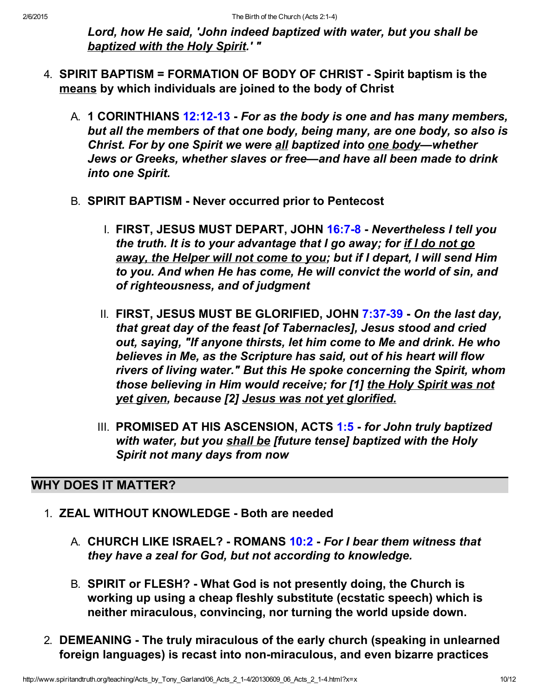Lord, how He said, 'John indeed baptized with water, but you shall be baptized with the Holy Spirit.' "

- 4. SPIRIT BAPTISM = FORMATION OF BODY OF CHRIST Spirit baptism is the means by which individuals are joined to the body of Christ
	- A. 1 CORINTHIANS 12:12-13 For as the body is one and has many members, but all the members of that one body, being many, are one body, so also is Christ. For by one Spirit we were all baptized into one body—whether Jews or Greeks, whether slaves or free—and have all been made to drink into one Spirit.
	- B. SPIRIT BAPTISM Never occurred prior to Pentecost
		- I. FIRST, JESUS MUST DEPART, JOHN 16:7-8 Nevertheless I tell you the truth. It is to your advantage that I go away; for if I do not go away, the Helper will not come to you; but if I depart, I will send Him to you. And when He has come, He will convict the world of sin, and of righteousness, and of judgment
		- II. FIRST, JESUS MUST BE GLORIFIED, JOHN 7:37-39 On the last day, that great day of the feast [of Tabernacles], Jesus stood and cried out, saying, "If anyone thirsts, let him come to Me and drink. He who believes in Me, as the Scripture has said, out of his heart will flow rivers of living water." But this He spoke concerning the Spirit, whom those believing in Him would receive; for [1] the Holy Spirit was not yet given, because [2] Jesus was not yet glorified.
		- III. PROMISED AT HIS ASCENSION, ACTS [1:5](http://www.spiritandtruth.org/bibles/nasb/b44c001.htm#Acts_C1V5)  for John truly baptized with water, but you shall be [future tense] baptized with the Holy Spirit not many days from now

# WHY DOES IT MATTER?

- 1. **ZEAL WITHOUT KNOWLEDGE Both are needed** 
	- A. CHURCH LIKE ISRAEL? ROMANS [10:2](http://www.spiritandtruth.org/bibles/nasb/b45c010.htm#Rom._C10V2)  For I bear them witness that they have a zeal for God, but not according to knowledge.
	- B. SPIRIT or FLESH? What God is not presently doing, the Church is working up using a cheap fleshly substitute (ecstatic speech) which is neither miraculous, convincing, nor turning the world upside down.
- 2. DEMEANING The truly miraculous of the early church (speaking in unlearned foreign languages) is recast into non-miraculous, and even bizarre practices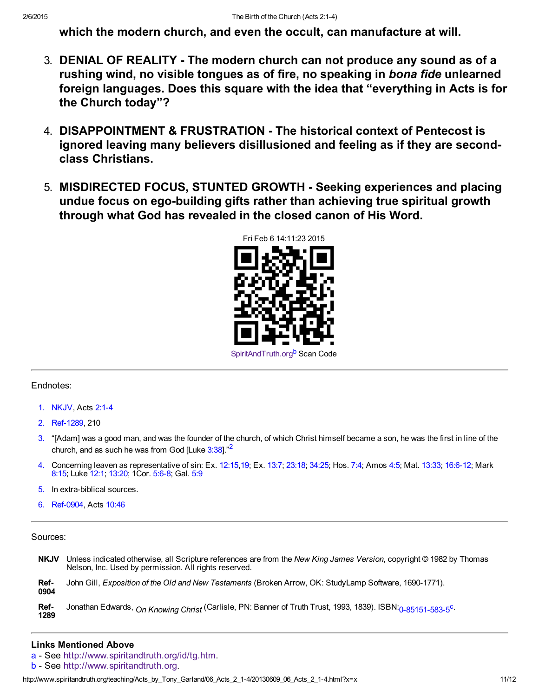which the modern church, and even the occult, can manufacture at will.

- 3. DENIAL OF REALITY The modern church can not produce any sound as of a rushing wind, no visible tongues as of fire, no speaking in bona fide unlearned foreign languages. Does this square with the idea that "everything in Acts is for the Church today"?
- 4. DISAPPOINTMENT & FRUSTRATION The historical context of Pentecost is ignored leaving many believers disillusioned and feeling as if they are secondclass Christians.
- 5. MISDIRECTED FOCUS, STUNTED GROWTH Seeking experiences and placing undue focus on ego-building gifts rather than achieving true spiritual growth through what God has revealed in the closed canon of His Word.

<span id="page-10-7"></span>

#### Endnotes:

- <span id="page-10-2"></span>[1.](#page-0-0) NKJV, Acts 2:1-4
- <span id="page-10-9"></span>[2.](#page-10-8) Ref-1289, 210
- <span id="page-10-8"></span><span id="page-10-0"></span>[3.](#page-0-1) "[Adam] was a good man, and was the founder of the church, of which Christ himself became a son, he was the first in line of the church, and as such he was from God [Luke  $3:38$ ]."<sup>[2](#page-10-9)</sup>
- <span id="page-10-3"></span>[4.](#page-3-0) Concerning leaven as representative of sin: Ex. [12:15](http://www.spiritandtruth.org/bibles/nasb/b02c012.htm#Ex._C12V15)[,19;](http://www.spiritandtruth.org/bibles/nasb/b02c012.htm#Ex._C12V19) Ex. [13:7;](http://www.spiritandtruth.org/bibles/nasb/b02c013.htm#Ex._C13V7) [23:18;](http://www.spiritandtruth.org/bibles/nasb/b02c023.htm#Ex._C23V18) [34:25](http://www.spiritandtruth.org/bibles/nasb/b02c034.htm#Ex._C34V25); Hos. [7:4](http://www.spiritandtruth.org/bibles/nasb/b28c007.htm#Hos._C7V4); Amos [4:5](http://www.spiritandtruth.org/bibles/nasb/b30c004.htm#Amos_C4V5); Mat. [13:33;](http://www.spiritandtruth.org/bibles/nasb/b40c013.htm#Mat._C13V33) [16:612](http://www.spiritandtruth.org/bibles/nasb/b40c016.htm#Mat._C16V6); Mark [8:15](http://www.spiritandtruth.org/bibles/nasb/b41c008.htm#Mark_C8V15); Luke [12:1;](http://www.spiritandtruth.org/bibles/nasb/b42c012.htm#Luke_C12V1) [13:20](http://www.spiritandtruth.org/bibles/nasb/b42c013.htm#Luke_C13V20); 1Cor. 5:6-8; Gal. [5:9](http://www.spiritandtruth.org/bibles/nasb/b48c005.htm#Gal._C5V9)
- <span id="page-10-4"></span>[5.](#page-4-0) In extra-biblical sources.
- <span id="page-10-5"></span>[6.](#page-7-0) Ref-0904, Acts [10:46](http://www.spiritandtruth.org/bibles/nasb/b44c010.htm#Acts_C10V46)

Sources:

<span id="page-10-10"></span>NKJV Unless indicated otherwise, all Scripture references are from the New King James Version, copyright © 1982 by Thomas Nelson, Inc. Used by permission. All rights reserved. Ref-0904 John Gill, Exposition of the Old and New Testaments (Broken Arrow, OK: StudyLamp Software, 1690-1771). Ref-1289 Jonathan Edwards, On Knowing Christ (Carlisle, PN: Banner of Truth Trust, 1993, 1839). ISBN: 0-85151-583-5<sup>[c](#page-11-0).</sup>

#### Links Mentioned Above

- <span id="page-10-1"></span>[a](#page-0-2) - See <http://www.spiritandtruth.org/id/tg.htm>.
- <span id="page-10-6"></span>[b](#page-10-7) - See [http://www.spiritandtruth.org](http://www.spiritandtruth.org/).

htt[p:](#page-10-10)//www.spiritandtruth.org/teaching/Acts\_by\_Tony\_Garland/06\_Acts\_2\_1-4/20130609\_06\_Acts\_2\_1-4.html?x=x 11/12